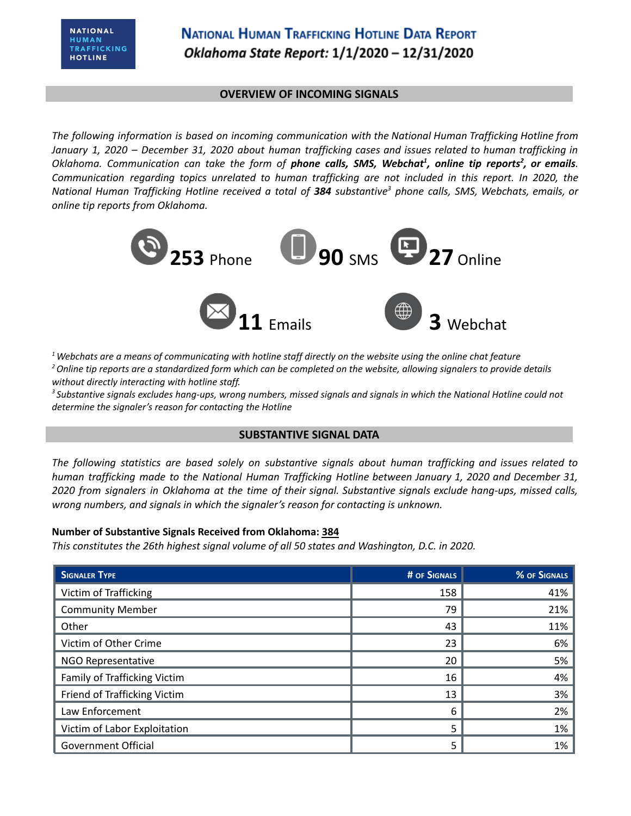### **OVERVIEW OF INCOMING SIGNALS**

*The following information is based on incoming communication with the National Human Trafficking Hotline from* January 1, 2020 - December 31, 2020 about human trafficking cases and issues related to human trafficking in Oklahoma. Communication can take the form of phone calls, SMS, Webchat<sup>1</sup>, online tip reports<sup>2</sup>, or emails. *Communication regarding topics unrelated to human trafficking are not included in this report. In 2020, the* National Human Trafficking Hotline received a total of 384 substantive<sup>3</sup> phone calls, SMS, Webchats, emails, or *online tip reports from Oklahoma.*



 $1$  Webchats are a means of communicating with hotline staff directly on the website using the online chat feature <sup>2</sup> Online tip reports are a standardized form which can be completed on the website, allowing signalers to provide details *without directly interacting with hotline staff.*

<sup>3</sup> Substantive signals excludes hang-ups, wrong numbers, missed signals and signals in which the National Hotline could not *determine the signaler's reason for contacting the Hotline*

### **SUBSTANTIVE SIGNAL DATA**

*The following statistics are based solely on substantive signals about human trafficking and issues related to human trafficking made to the National Human Trafficking Hotline between January 1, 2020 and December 31,* 2020 from signalers in Oklahoma at the time of their signal. Substantive signals exclude hang-ups, missed calls, *wrong numbers, and signals in which the signaler's reason for contacting is unknown.*

### **Number of Substantive Signals Received from Oklahoma: 384**

*This constitutes the 26th highest signal volume of all 50 states and Washington, D.C. in 2020.*

| <b>SIGNALER TYPE</b>         | # OF SIGNALS | % OF SIGNALS |
|------------------------------|--------------|--------------|
| Victim of Trafficking        | 158          | 41%          |
| <b>Community Member</b>      | 79           | 21%          |
| Other                        | 43           | 11%          |
| Victim of Other Crime        | 23           | 6%           |
| NGO Representative           | 20           | 5%           |
| Family of Trafficking Victim | 16           | 4%           |
| Friend of Trafficking Victim | 13           | 3%           |
| Law Enforcement              | 6            | 2%           |
| Victim of Labor Exploitation | 5            | 1%           |
| <b>Government Official</b>   | 5            | 1%           |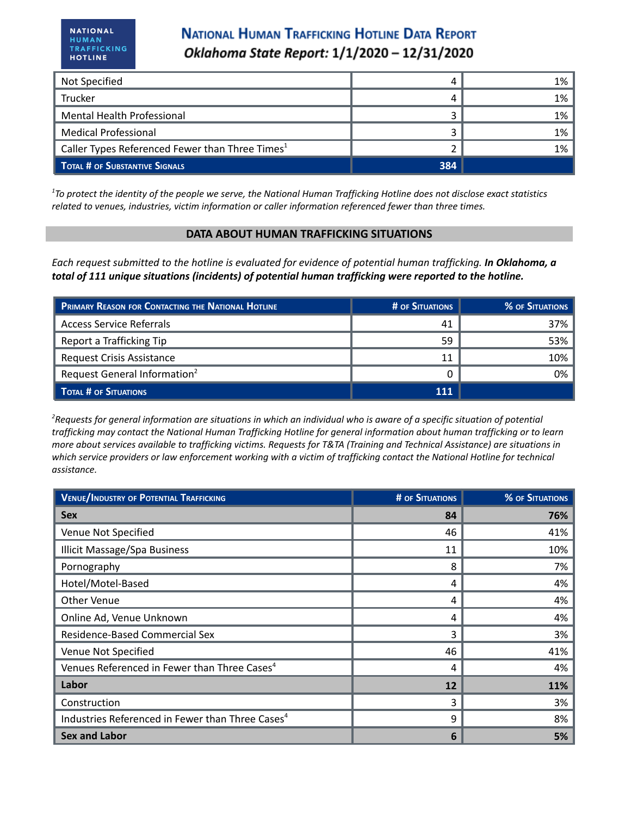## **NATIONAL HUMAN TRAFFICKING HOTLINE DATA REPORT** Oklahoma State Report: 1/1/2020 - 12/31/2020

| Not Specified                                               |     | 1% |
|-------------------------------------------------------------|-----|----|
| <b>Trucker</b>                                              |     | 1% |
| Mental Health Professional                                  |     | 1% |
| <b>Medical Professional</b>                                 |     | 1% |
| Caller Types Referenced Fewer than Three Times <sup>1</sup> |     | 1% |
| <b>TOTAL # OF SUBSTANTIVE SIGNALS</b>                       | 384 |    |

<sup>1</sup>To protect the identity of the people we serve, the National Human Trafficking Hotline does not disclose exact statistics *related to venues, industries, victim information or caller information referenced fewer than three times.*

### **DATA ABOUT HUMAN TRAFFICKING SITUATIONS**

Each request submitted to the hotline is evaluated for evidence of potential human trafficking. In Oklahoma, a *total of 111 unique situations (incidents) of potential human trafficking were reported to the hotline.*

| PRIMARY REASON FOR CONTACTING THE NATIONAL HOTLINE | # OF SITUATIONS | <b>% OF SITUATIONS</b> |
|----------------------------------------------------|-----------------|------------------------|
| Access Service Referrals                           | 41              | 37%                    |
| Report a Trafficking Tip                           | 59              | 53%                    |
| Request Crisis Assistance                          | 11              | 10%                    |
| Request General Information <sup>2</sup>           |                 | 0%                     |
| TOTAL # OF SITUATIONS                              | <b>111</b>      |                        |

<sup>2</sup>Requests for general information are situations in which an individual who is aware of a specific situation of potential trafficking may contact the National Human Trafficking Hotline for general information about human trafficking or to learn more about services available to trafficking victims. Requests for T&TA (Training and Technical Assistance) are situations in which service providers or law enforcement working with a victim of trafficking contact the National Hotline for technical *assistance.*

| <b>VENUE/INDUSTRY OF POTENTIAL TRAFFICKING</b>               | <b># OF SITUATIONS</b> | <b>% OF SITUATIONS</b> |
|--------------------------------------------------------------|------------------------|------------------------|
| <b>Sex</b>                                                   | 84                     | 76%                    |
| Venue Not Specified                                          | 46                     | 41%                    |
| <b>Illicit Massage/Spa Business</b>                          | 11                     | 10%                    |
| Pornography                                                  | 8                      | 7%                     |
| Hotel/Motel-Based                                            | 4                      | 4%                     |
| Other Venue                                                  | 4                      | 4%                     |
| Online Ad, Venue Unknown                                     | 4                      | 4%                     |
| Residence-Based Commercial Sex                               | 3                      | 3%                     |
| Venue Not Specified                                          | 46                     | 41%                    |
| Venues Referenced in Fewer than Three Cases <sup>4</sup>     | 4                      | 4%                     |
| Labor                                                        | 12                     | 11%                    |
| Construction                                                 | 3                      | 3%                     |
| Industries Referenced in Fewer than Three Cases <sup>4</sup> | 9                      | 8%                     |
| <b>Sex and Labor</b>                                         | 6                      | 5%                     |